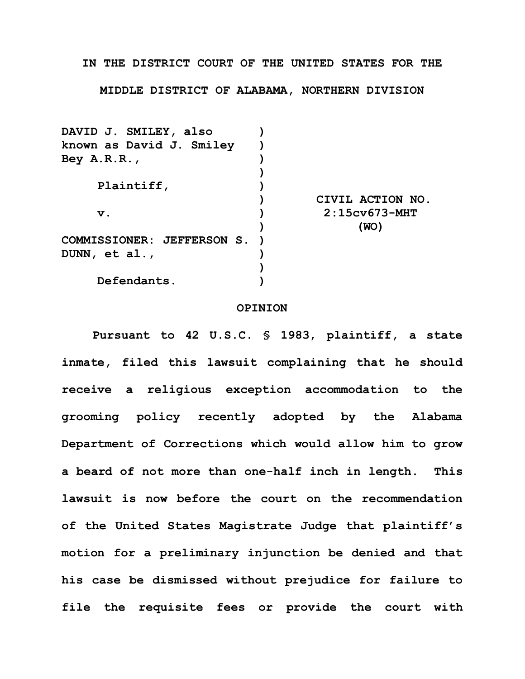## **IN THE DISTRICT COURT OF THE UNITED STATES FOR THE**

**MIDDLE DISTRICT OF ALABAMA, NORTHERN DIVISION**

| DAVID J. SMILEY, also      |                  |
|----------------------------|------------------|
| known as David J. Smiley   |                  |
| Bey $A.R.R.$ ,             |                  |
|                            |                  |
| Plaintiff,                 |                  |
|                            | CIVIL ACTION NO. |
| $\mathbf v$ .              | $2:15cv673-MHT$  |
|                            | (WO)             |
| COMMISSIONER: JEFFERSON S. |                  |
| DUNN, et al.,              |                  |
|                            |                  |
| Defendants.                |                  |
|                            |                  |

## **OPINION**

**Pursuant to 42 U.S.C. § 1983, plaintiff, a state inmate, filed this lawsuit complaining that he should receive a religious exception accommodation to the grooming policy recently adopted by the Alabama Department of Corrections which would allow him to grow a beard of not more than one-half inch in length. This lawsuit is now before the court on the recommendation of the United States Magistrate Judge that plaintiff's motion for a preliminary injunction be denied and that his case be dismissed without prejudice for failure to file the requisite fees or provide the court with**